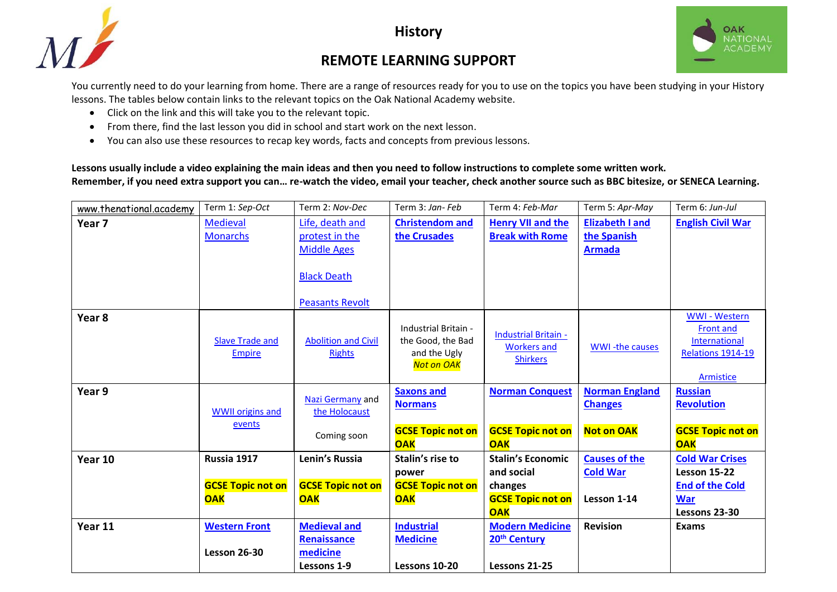





## **REMOTE LEARNING SUPPORT**

You currently need to do your learning from home. There are a range of resources ready for you to use on the topics you have been studying in your History lessons. The tables below contain links to the relevant topics on the Oak National Academy website.

- Click on the link and this will take you to the relevant topic.
- From there, find the last lesson you did in school and start work on the next lesson.
- You can also use these resources to recap key words, facts and concepts from previous lessons.

**Lessons usually include a video explaining the main ideas and then you need to follow instructions to complete some written work. Remember, if you need extra support you can… re-watch the video, email your teacher, check another source such as BBC bitesize, or SENECA Learning.**

| www.thenational.academy | Term 1: Sep-Oct                         | Term 2: Nov-Dec                                         | Term 3: Jan-Feb                                                                | Term 4: Feb-Mar                                                      | Term 5: Apr-May                                        | Term 6: Jun-Jul                                                                                  |
|-------------------------|-----------------------------------------|---------------------------------------------------------|--------------------------------------------------------------------------------|----------------------------------------------------------------------|--------------------------------------------------------|--------------------------------------------------------------------------------------------------|
| Year 7                  | <b>Medieval</b><br><b>Monarchs</b>      | Life, death and<br>protest in the<br><b>Middle Ages</b> | <b>Christendom and</b><br>the Crusades                                         | <b>Henry VII and the</b><br><b>Break with Rome</b>                   | <b>Elizabeth I and</b><br>the Spanish<br><b>Armada</b> | <b>English Civil War</b>                                                                         |
|                         |                                         | <b>Black Death</b><br><b>Peasants Revolt</b>            |                                                                                |                                                                      |                                                        |                                                                                                  |
| Year 8                  | <b>Slave Trade and</b><br><b>Empire</b> | <b>Abolition and Civil</b><br><b>Rights</b>             | Industrial Britain -<br>the Good, the Bad<br>and the Ugly<br><b>Not on OAK</b> | <b>Industrial Britain -</b><br><b>Workers and</b><br><b>Shirkers</b> | WWI-the causes                                         | <b>WWI-Western</b><br><b>Front and</b><br>International<br><b>Relations 1914-19</b><br>Armistice |
| Year 9                  | <b>WWII origins and</b><br>events       | Nazi Germany and<br>the Holocaust                       | <b>Saxons and</b><br><b>Normans</b>                                            | <b>Norman Conquest</b>                                               | <b>Norman England</b><br><b>Changes</b>                | <b>Russian</b><br><b>Revolution</b>                                                              |
|                         |                                         | Coming soon                                             | <b>GCSE Topic not on</b><br><b>OAK</b>                                         | <b>GCSE Topic not on</b><br><b>OAK</b>                               | <b>Not on OAK</b>                                      | <b>GCSE Topic not on</b><br><b>OAK</b>                                                           |
| Year 10                 | Russia 1917                             | Lenin's Russia                                          | Stalin's rise to<br>power                                                      | <b>Stalin's Economic</b><br>and social                               | <b>Causes of the</b><br><b>Cold War</b>                | <b>Cold War Crises</b><br><b>Lesson 15-22</b>                                                    |
|                         | <b>GCSE Topic not on</b><br><b>OAK</b>  | <b>GCSE Topic not on</b><br><b>OAK</b>                  | <b>GCSE Topic not on</b><br><b>OAK</b>                                         | changes<br><b>GCSE Topic not on</b><br><b>OAK</b>                    | Lesson 1-14                                            | <b>End of the Cold</b><br><b>War</b><br>Lessons 23-30                                            |
| Year 11                 | <b>Western Front</b>                    | <b>Medieval and</b><br><b>Renaissance</b>               | <b>Industrial</b><br><b>Medicine</b>                                           | <b>Modern Medicine</b><br>20 <sup>th</sup> Century                   | <b>Revision</b>                                        | <b>Exams</b>                                                                                     |
|                         | <b>Lesson 26-30</b>                     | medicine<br>Lessons 1-9                                 | Lessons 10-20                                                                  | Lessons 21-25                                                        |                                                        |                                                                                                  |